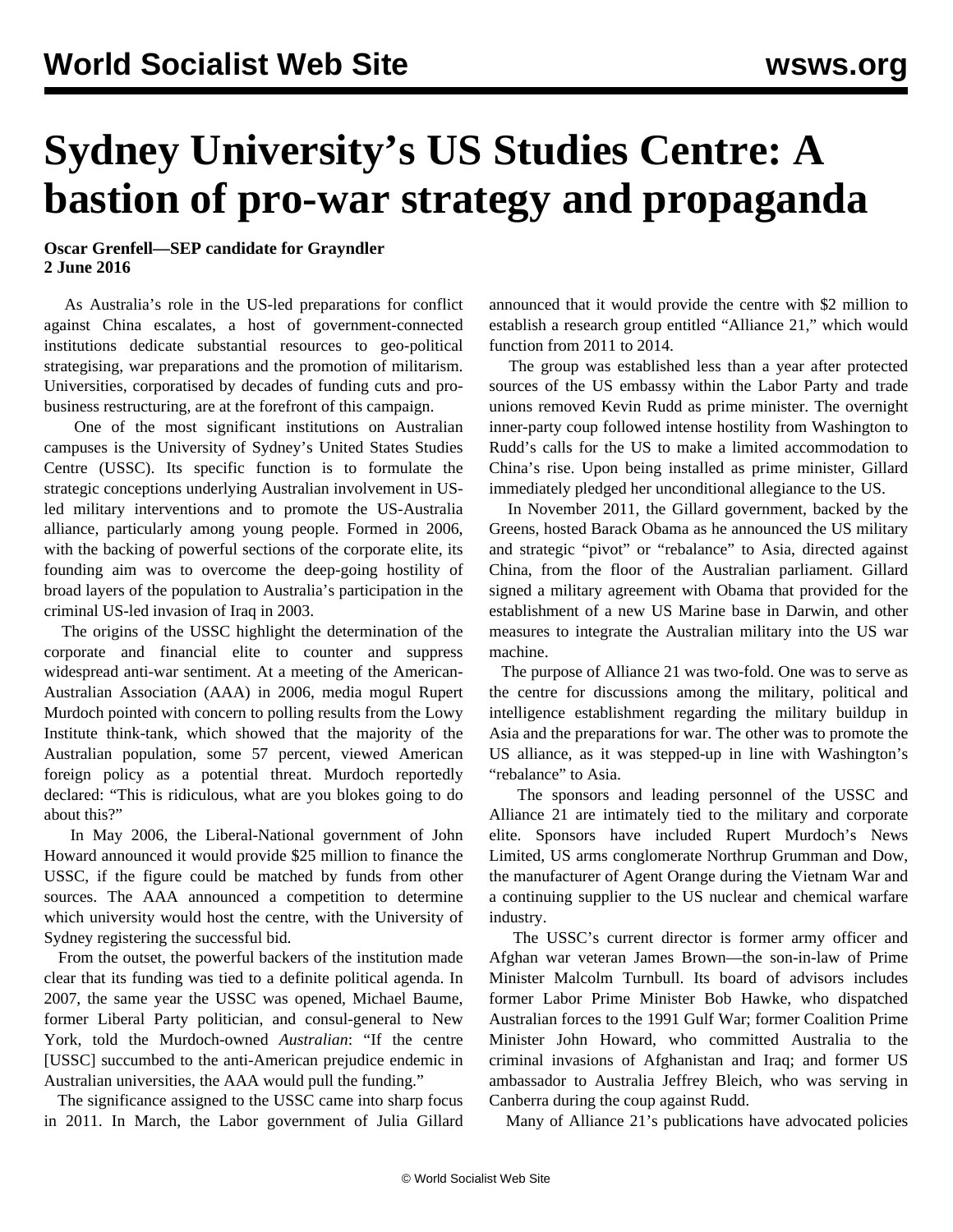## **Sydney University's US Studies Centre: A bastion of pro-war strategy and propaganda**

## **Oscar Grenfell—SEP candidate for Grayndler 2 June 2016**

 As Australia's role in the US-led preparations for conflict against China escalates, a host of government-connected institutions dedicate substantial resources to geo-political strategising, war preparations and the promotion of militarism. Universities, corporatised by decades of funding cuts and probusiness restructuring, are at the forefront of this campaign.

 One of the most significant institutions on Australian campuses is the University of Sydney's United States Studies Centre (USSC). Its specific function is to formulate the strategic conceptions underlying Australian involvement in USled military interventions and to promote the US-Australia alliance, particularly among young people. Formed in 2006, with the backing of powerful sections of the corporate elite, its founding aim was to overcome the deep-going hostility of broad layers of the population to Australia's participation in the criminal US-led invasion of Iraq in 2003.

 The origins of the USSC highlight the determination of the corporate and financial elite to counter and suppress widespread anti-war sentiment. At a meeting of the American-Australian Association (AAA) in 2006, media mogul Rupert Murdoch pointed with concern to polling results from the Lowy Institute think-tank, which showed that the majority of the Australian population, some 57 percent, viewed American foreign policy as a potential threat. Murdoch reportedly declared: "This is ridiculous, what are you blokes going to do about this?"

 In May 2006, the Liberal-National government of John Howard announced it would provide \$25 million to finance the USSC, if the figure could be matched by funds from other sources. The AAA announced a competition to determine which university would host the centre, with the University of Sydney registering the successful bid.

 From the outset, the powerful backers of the institution made clear that its funding was tied to a definite political agenda. In 2007, the same year the USSC was opened, Michael Baume, former Liberal Party politician, and consul-general to New York, told the Murdoch-owned *Australian*: "If the centre [USSC] succumbed to the anti-American prejudice endemic in Australian universities, the AAA would pull the funding."

 The significance assigned to the USSC came into sharp focus in 2011. In March, the Labor government of Julia Gillard announced that it would provide the centre with \$2 million to establish a research group entitled "Alliance 21," which would function from 2011 to 2014.

 The group was established less than a year after protected sources of the US embassy within the Labor Party and trade unions removed Kevin Rudd as prime minister. The overnight inner-party coup followed intense hostility from Washington to Rudd's calls for the US to make a limited accommodation to China's rise. Upon being installed as prime minister, Gillard immediately pledged her unconditional allegiance to the US.

 In November 2011, the Gillard government, backed by the Greens, hosted Barack Obama as he announced the US military and strategic "pivot" or "rebalance" to Asia, directed against China, from the floor of the Australian parliament. Gillard signed a military agreement with Obama that provided for the establishment of a new US Marine base in Darwin, and other measures to integrate the Australian military into the US war machine.

 The purpose of Alliance 21 was two-fold. One was to serve as the centre for discussions among the military, political and intelligence establishment regarding the military buildup in Asia and the preparations for war. The other was to promote the US alliance, as it was stepped-up in line with Washington's "rebalance" to Asia.

 The sponsors and leading personnel of the USSC and Alliance 21 are intimately tied to the military and corporate elite. Sponsors have included Rupert Murdoch's News Limited, US arms conglomerate Northrup Grumman and Dow, the manufacturer of Agent Orange during the Vietnam War and a continuing supplier to the US nuclear and chemical warfare industry.

 The USSC's current director is former army officer and Afghan war veteran James Brown—the son-in-law of Prime Minister Malcolm Turnbull. Its board of advisors includes former Labor Prime Minister Bob Hawke, who dispatched Australian forces to the 1991 Gulf War; former Coalition Prime Minister John Howard, who committed Australia to the criminal invasions of Afghanistan and Iraq; and former US ambassador to Australia Jeffrey Bleich, who was serving in Canberra during the coup against Rudd.

Many of Alliance 21's publications have advocated policies